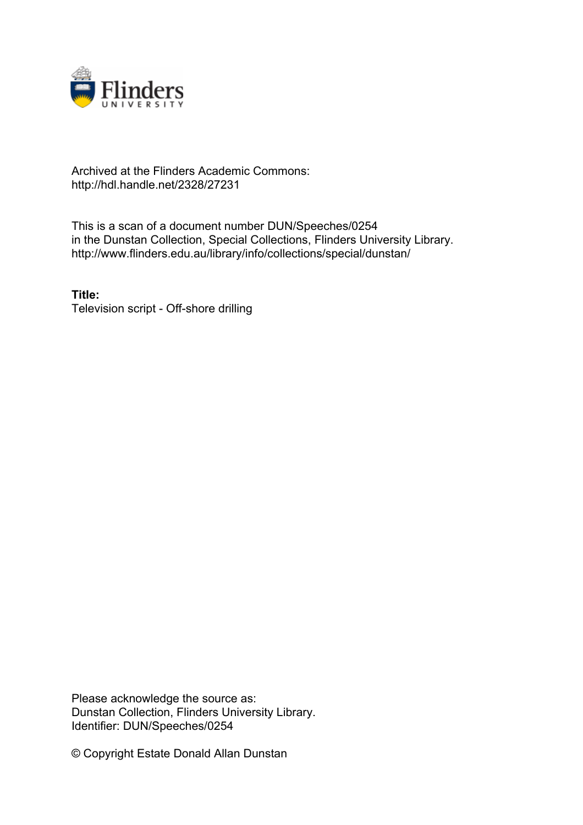

### Archived at the Flinders Academic Commons: http://hdl.handle.net/2328/27231

This is a scan of a document number DUN/Speeches/0254 in the Dunstan Collection, Special Collections, Flinders University Library. http://www.flinders.edu.au/library/info/collections/special/dunstan/

**Title:** Television script - Off-shore drilling

Please acknowledge the source as: Dunstan Collection, Flinders University Library. Identifier: DUN/Speeches/0254

© Copyright Estate Donald Allan Dunstan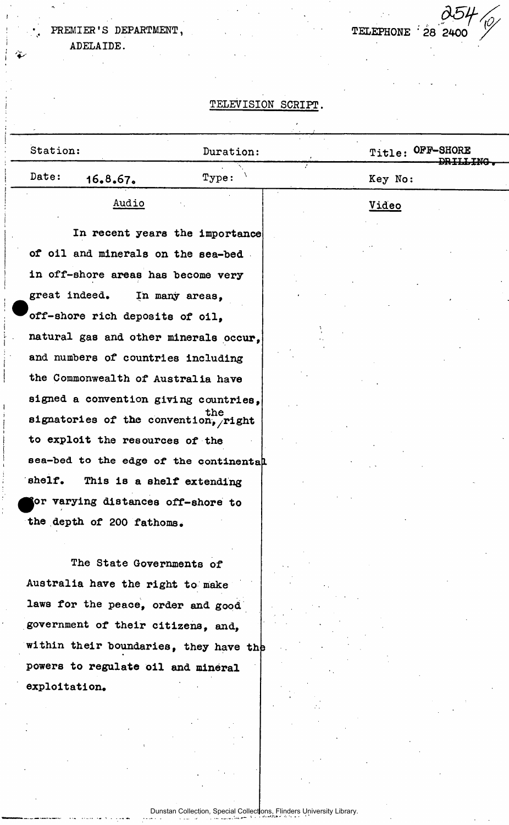ADELAIDE.

TELEPHONE 28 24

### **TELEVISION SCRIPT.**

| Station:                               | Duration:                      | Title: OFF-SHORE |  |
|----------------------------------------|--------------------------------|------------------|--|
| Date:<br>16.8.67.                      | Type:                          | Key No:          |  |
| Audio                                  |                                | Video            |  |
|                                        | In recent years the importance |                  |  |
| of oil and minerals on the sea-bed     |                                |                  |  |
| in off-shore areas has become very     |                                |                  |  |
| great indeed.                          | In many areas,                 |                  |  |
| off-shore rich deposits of oil.        |                                |                  |  |
| natural gas and other minerals occur,  |                                |                  |  |
| and numbers of countries including     |                                |                  |  |
| the Commonwealth of Australia have     |                                |                  |  |
| signed a convention giving countries,  |                                |                  |  |
| signatories of the convention, right   |                                |                  |  |
| to exploit the resources of the        |                                |                  |  |
| sea-bed to the edge of the continental |                                |                  |  |
| shelf.                                 | This is a shelf extending      |                  |  |
| or varying distances off-shore to      |                                |                  |  |
| the depth of 200 fathoms.              |                                |                  |  |
|                                        |                                |                  |  |
| The State Governments of               |                                |                  |  |
| Australia have the right to make       |                                |                  |  |

laws for the peace, order and good government of their citizens, and, within their boundaries, they have the powers to regulate oil and mineral exploitation.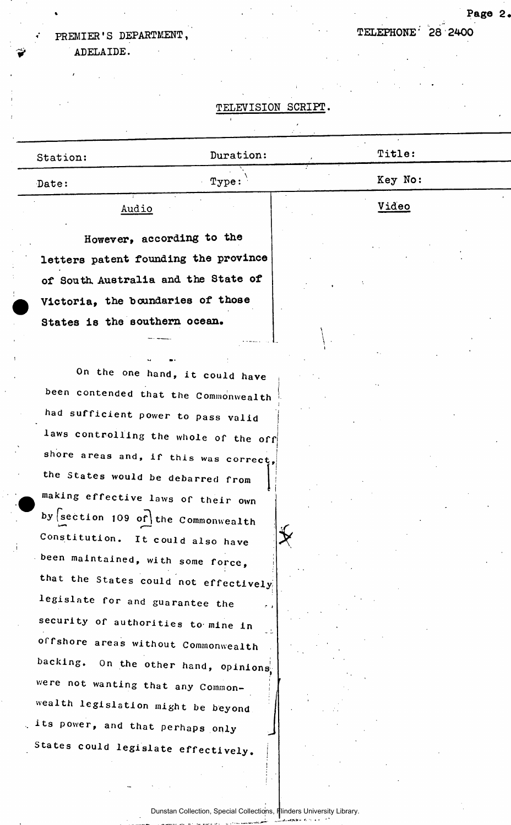ADELAIDE.

#### **TELEVISION SCRIPT.**

| Station: | Duration:                 | Title:  |
|----------|---------------------------|---------|
| Date:    | Type:                     | Key No: |
| Audio    |                           | Video   |
|          | However, according to the |         |

!

!

*\** 

letters patent founding the province of South Australia and the State of Victoria, the boundaries of those States is the southern ocean.

On the one hand, it could have been contended that the Commonwealth **had sufficient power to pass valid**   $\frac{1}{2}$  awe controlling the set of  $\frac{1}{2}$ **Laws controlling the whole of the offi**shore areas and, if this was correct, **the States would be debarred from making effective laws of their own**  by section 109 of the Commonwealth Constitution. It could also have been maintained, with some force, **that the States could not effectively: legislate for and guarantee the security of authorities to mine in**  offshore areas without Commonwealth backing. On the other hand, opinions, were not wanting that any Common**wealth legislation might be beyond its power, and that perhaps only**  States could legislate effectively.

 $\frac{1}{2}$  ,  $\frac{1}{2}$  ,  $\frac{1}{2}$  ,  $\frac{1}{2}$  ,  $\frac{1}{2}$  ,  $\frac{1}{2}$  ,  $\frac{1}{2}$  ,  $\frac{1}{2}$  ,  $\frac{1}{2}$  ,  $\frac{1}{2}$  ,  $\frac{1}{2}$  ,  $\frac{1}{2}$  ,  $\frac{1}{2}$  ,  $\frac{1}{2}$  ,  $\frac{1}{2}$  ,  $\frac{1}{2}$  ,  $\frac{1}{2}$  ,  $\frac{1}{2}$  ,  $\frac{1$ 

Page 2.

Dunstan Collection, Special Collections, Flinders University Library.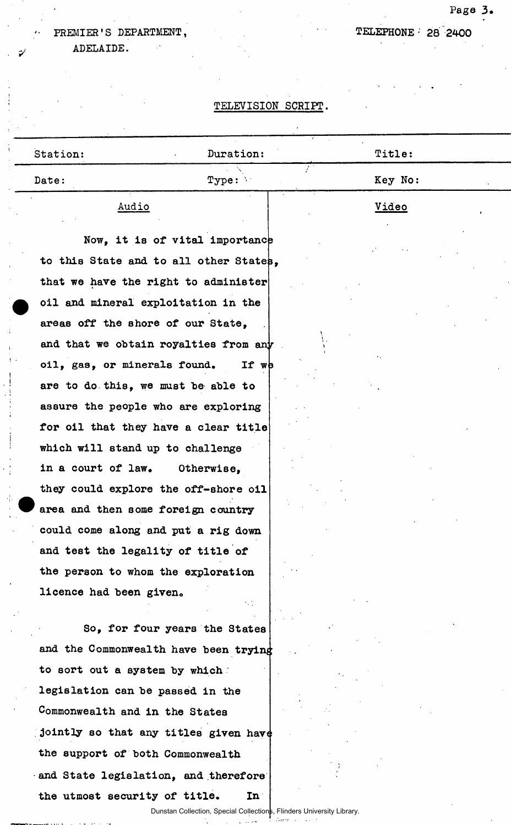ADELAIDE.

### TELEPHONE- 28 2400

#### TELEVISION SCRIPT.

| Station:                           | Duration:                              | Title:  |
|------------------------------------|----------------------------------------|---------|
| Date:                              | Type:                                  | Key No: |
| Audio                              |                                        | Video   |
|                                    | Now, it is of vital importance         |         |
|                                    | to this State and to all other States, |         |
|                                    | that we have the right to administer   |         |
|                                    | oil and mineral exploitation in the    |         |
| areas off the shore of our State,  |                                        |         |
|                                    | and that we obtain royalties from any  |         |
| oil, gas, or minerals found.       | If wb                                  |         |
|                                    | are to do this, we must be able to     |         |
|                                    | assure the people who are exploring    |         |
|                                    | for oil that they have a clear title   |         |
| which will stand up to challenge   |                                        |         |
| in a court of law.                 | Otherwise,                             |         |
|                                    | they could explore the off-shore oil   |         |
| area and then some foreign country |                                        |         |
|                                    | could come along and put a rig down    |         |
| and test the legality of title of  |                                        |         |
|                                    | the person to whom the exploration     |         |
| licence had been given.            |                                        |         |
|                                    |                                        |         |
|                                    | So, for four years the States          |         |
|                                    | and the Commonwealth have been trying  |         |
| to sort out a system by which      |                                        |         |
| legislation can be passed in the   |                                        |         |
| Commonwealth and in the States     |                                        |         |

the support of both Commonwealth and State legislation, and therefore the utmost security of title. In

للأرباء والمناد

Dunstan Collection, Special Collections, Flinders University Library.

**Pag e 3 .**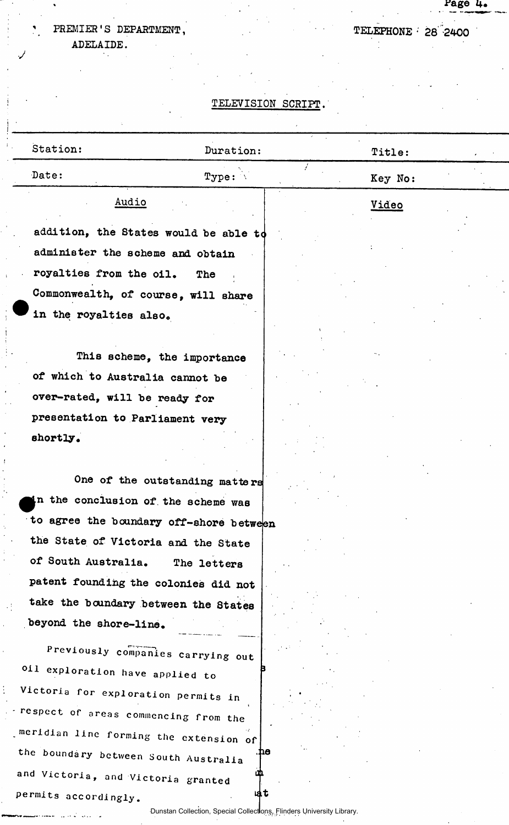ADELAIDE.

 $\epsilon$ 

*•J* 

 $\mathbf{i}$ 

 $\ddot{\phantom{a}}$  $\bar{t}$ 

í

كالمرابي المتصديد

### TELEPHONE 28 2400

Page 4.

### TELEVISION SCRIPT.

| Station:                               | Duration:                                                             | Title:       |
|----------------------------------------|-----------------------------------------------------------------------|--------------|
| Date:                                  | Type:                                                                 | Key No:      |
| Audio                                  |                                                                       | <u>Video</u> |
|                                        | addition, the States would be able to                                 |              |
| administer the scheme and obtain       |                                                                       |              |
| royalties from the oil.                | The                                                                   |              |
| Commonwealth, of course, will share    |                                                                       |              |
| in the royalties also.                 |                                                                       |              |
|                                        |                                                                       |              |
|                                        | This scheme, the importance                                           |              |
| of which to Australia cannot be        |                                                                       |              |
| over-rated, will be ready for          |                                                                       |              |
| presentation to Parliament very        |                                                                       |              |
| shortly.                               |                                                                       |              |
|                                        | One of the outstanding matters                                        |              |
| n the conclusion of the scheme was     |                                                                       |              |
|                                        | to agree the boundary off-shore between                               |              |
| the State of Victoria and the State    |                                                                       |              |
| of South Australia.                    | The letters                                                           |              |
| patent founding the colonies did not   |                                                                       |              |
| take the boundary between the States   |                                                                       |              |
| beyond the shore-line.                 |                                                                       |              |
|                                        | Previously companies carrying out                                     |              |
| oil exploration have applied to        |                                                                       |              |
| Victoria for exploration permits in    |                                                                       |              |
| respect of areas commencing from the   |                                                                       |              |
| meridian line forming the extension of |                                                                       |              |
| the boundary between South Australia   | ne                                                                    |              |
| and Victoria, and Victoria granted     | டை                                                                    |              |
| permits accordingly.                   | ia t                                                                  |              |
|                                        | Dunstan Collection, Special Collections, Flinders University Library. |              |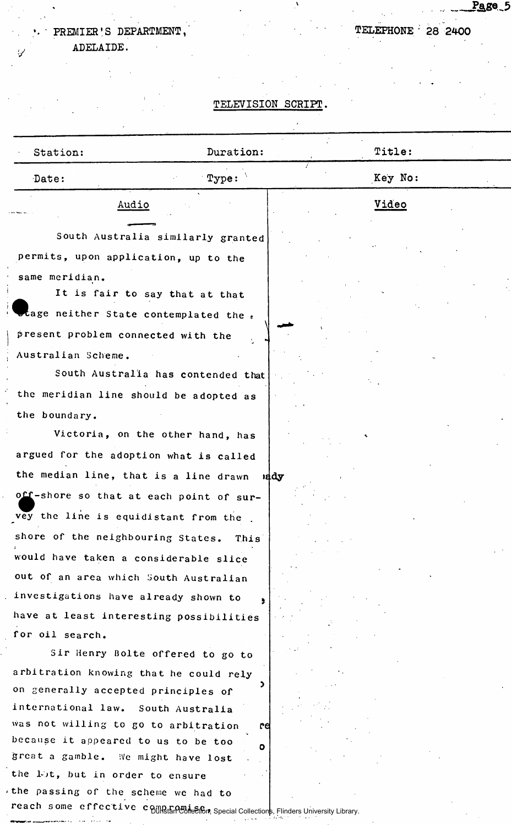ADELAIDE.

#### TELEVISION SCRIPT.

| Station:                                                                                                                                                                                                                       | Duration:                                                                 | Title:  |  |
|--------------------------------------------------------------------------------------------------------------------------------------------------------------------------------------------------------------------------------|---------------------------------------------------------------------------|---------|--|
| Date:                                                                                                                                                                                                                          | $\mathbf{Type:}$                                                          | Key No: |  |
|                                                                                                                                                                                                                                | Audio                                                                     | Video   |  |
|                                                                                                                                                                                                                                | South Australia similarly granted<br>permits, upon application, up to the |         |  |
| same meridian.                                                                                                                                                                                                                 | It is fair to say that at that                                            |         |  |
|                                                                                                                                                                                                                                | stage neither State contemplated the .                                    |         |  |
| present problem connected with the                                                                                                                                                                                             |                                                                           |         |  |
| Australian Scheme.                                                                                                                                                                                                             |                                                                           |         |  |
| the second control of the second control of the second second control of the second second second second second second second second second second second second second second second second second second second second secon |                                                                           |         |  |

South Australia has contended that the meridian line should be adopted as the boundary.

Victoria, on the other hand, has argued for the adoption what is called the median line, that is a line drawn off-shore so that at each point of survey the line is equidistant from the. shore of the neighbouring States. This *1*  would have taken a considerable slice out of an area which South Australian investigations have already shown to<sup>9</sup> have at least interesting possibilities for oil search. nddy

Sir Henry Bolte offered to go to arbitration knowing that he could rely on generally accepted principles of \* international law. South Australia was not willing to go to arbitration because it appeared to us to be too great a gamble. iVe might have lost the lot, but in order to ensure the passing of the scheme we had to

<u>Page</u>\_5

reach some effective compromise, Second Collections, Flinders University Library.

re

o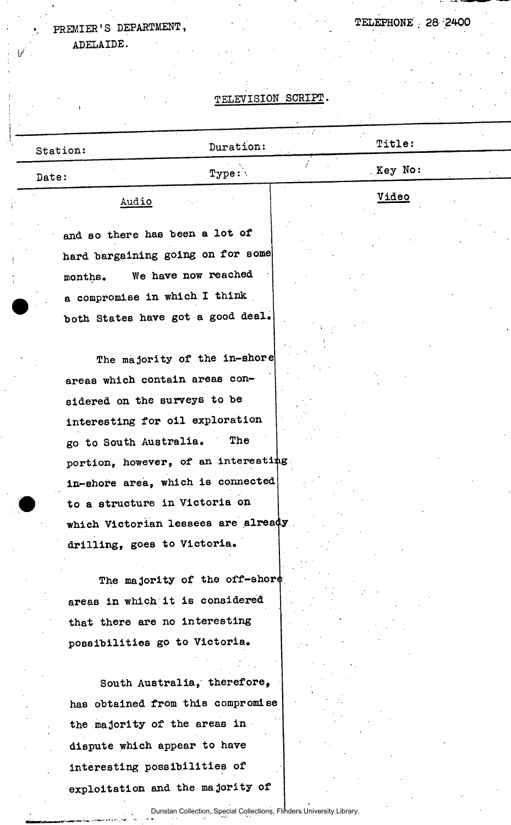ADELAIDE.

## TELEVISION SCRIPT

TELEPHONE 28 2400

| Station:                    | Duration:                            | Title:  |
|-----------------------------|--------------------------------------|---------|
| Date:                       | Type:                                | Key No: |
| Audio                       |                                      | Video   |
|                             | and so there has been a lot of       |         |
|                             | hard bargaining going on for some    |         |
| months.                     | We have now reached                  |         |
|                             | a compromise in which I think        |         |
|                             | both States have got a good deal.    |         |
|                             | The majority of the in-shore         |         |
|                             | areas which contain areas con-       |         |
|                             | sidered on the surveys to be         |         |
|                             | interesting for oil exploration      |         |
| go to South Australia.      | The                                  |         |
|                             | portion, however, of an interesting  |         |
|                             | in-shore area, which is connected    |         |
|                             | to a structure in Victoria on        |         |
|                             | which Victorian lessees are already. |         |
| drilling, goes to Victoria. |                                      |         |
|                             | The majority of the off-shore        |         |
|                             | areas in which it is considered      |         |
|                             | that there are no interesting        |         |
|                             | possibilities go to Victoria.        |         |
|                             |                                      |         |
|                             | South Australia, therefore,          |         |
|                             | has obtained from this compromise    |         |
|                             | the majority of the areas in         |         |
|                             | dispute which appear to have         |         |
|                             | interesting possibilities of         |         |
|                             | exploitation and the majority of     |         |
|                             |                                      |         |

Dunstan Collection, Special Collections, Flinders University Library.